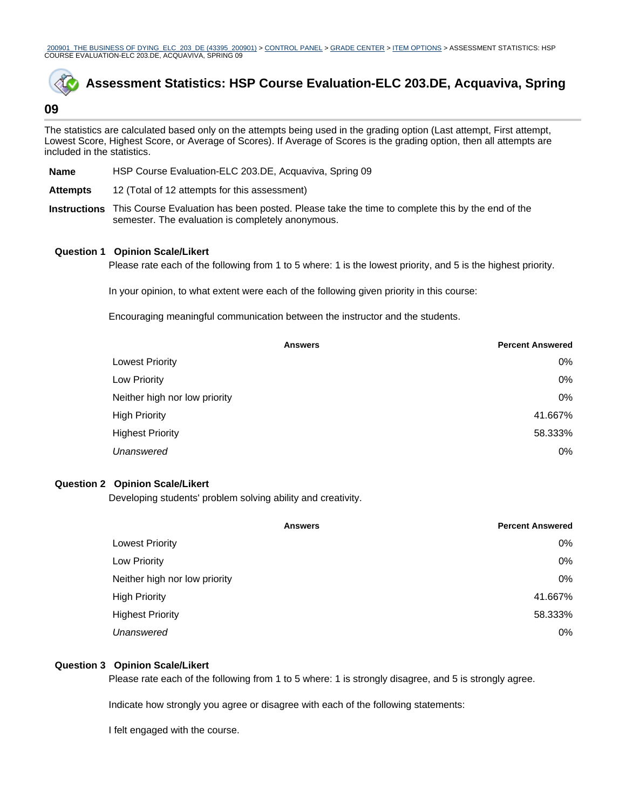200901\_THE BUSINESS OF DYING\_ELC\_203\_DE (43395\_200901) > CONTROL PANEL > GRADE CENTER > ITEM OPTIONS > ASSESSMENT STATISTICS: HSP COURSE EVALUATION-ELC 203.DE, ACQUAVIVA, SPRING 09



# **Assessment Statistics: HSP Course Evaluation-ELC 203.DE, Acquaviva, Spring**

# **09**

The statistics are calculated based only on the attempts being used in the grading option (Last attempt, First attempt, Lowest Score, Highest Score, or Average of Scores). If Average of Scores is the grading option, then all attempts are included in the statistics.

- **Name** HSP Course Evaluation-ELC 203.DE, Acquaviva, Spring 09
- **Attempts** 12 (Total of 12 attempts for this assessment)
- **Instructions** This Course Evaluation has been posted. Please take the time to complete this by the end of the semester. The evaluation is completely anonymous.

#### **Question 1 Opinion Scale/Likert**

Please rate each of the following from 1 to 5 where: 1 is the lowest priority, and 5 is the highest priority.

In your opinion, to what extent were each of the following given priority in this course:

Encouraging meaningful communication between the instructor and the students.

|                               | <b>Answers</b> | <b>Percent Answered</b> |
|-------------------------------|----------------|-------------------------|
| <b>Lowest Priority</b>        |                | $0\%$                   |
| Low Priority                  |                | 0%                      |
| Neither high nor low priority |                | 0%                      |
| <b>High Priority</b>          |                | 41.667%                 |
| <b>Highest Priority</b>       |                | 58.333%                 |
| Unanswered                    |                | 0%                      |
|                               |                |                         |

### **Question 2 Opinion Scale/Likert**

Developing students' problem solving ability and creativity.

|                               | <b>Percent Answered</b><br><b>Answers</b> |
|-------------------------------|-------------------------------------------|
| <b>Lowest Priority</b>        | $0\%$                                     |
| Low Priority                  | $0\%$                                     |
| Neither high nor low priority | $0\%$                                     |
| <b>High Priority</b>          | 41.667%                                   |
| <b>Highest Priority</b>       | 58.333%                                   |
| Unanswered                    | $0\%$                                     |

#### **Question 3 Opinion Scale/Likert**

Please rate each of the following from 1 to 5 where: 1 is strongly disagree, and 5 is strongly agree.

Indicate how strongly you agree or disagree with each of the following statements:

I felt engaged with the course.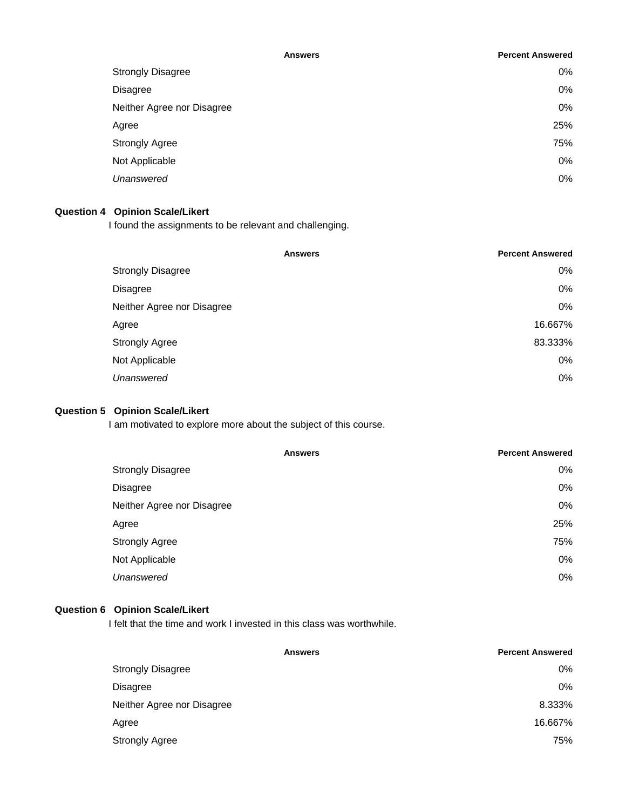| <b>Answers</b>             | <b>Percent Answered</b> |
|----------------------------|-------------------------|
| <b>Strongly Disagree</b>   | 0%                      |
| Disagree                   | 0%                      |
| Neither Agree nor Disagree | 0%                      |
| Agree                      | 25%                     |
| <b>Strongly Agree</b>      | 75%                     |
| Not Applicable             | 0%                      |
| Unanswered                 | 0%                      |

# **Question 4 Opinion Scale/Likert**

I found the assignments to be relevant and challenging.

|                            | <b>Percent Answered</b><br><b>Answers</b> |
|----------------------------|-------------------------------------------|
| <b>Strongly Disagree</b>   | $0\%$                                     |
| <b>Disagree</b>            | $0\%$                                     |
| Neither Agree nor Disagree | $0\%$                                     |
| Agree                      | 16.667%                                   |
| <b>Strongly Agree</b>      | 83.333%                                   |
| Not Applicable             | $0\%$                                     |
| Unanswered                 | $0\%$                                     |

# **Question 5 Opinion Scale/Likert**

I am motivated to explore more about the subject of this course.

| <b>Answers</b>             | <b>Percent Answered</b> |
|----------------------------|-------------------------|
| <b>Strongly Disagree</b>   | $0\%$                   |
| <b>Disagree</b>            | 0%                      |
| Neither Agree nor Disagree | $0\%$                   |
| Agree                      | 25%                     |
| <b>Strongly Agree</b>      | 75%                     |
| Not Applicable             | 0%                      |
| Unanswered                 | $0\%$                   |

# **Question 6 Opinion Scale/Likert**

I felt that the time and work I invested in this class was worthwhile.

| <b>Answers</b>             | <b>Percent Answered</b> |
|----------------------------|-------------------------|
| <b>Strongly Disagree</b>   | 0%                      |
| <b>Disagree</b>            | 0%                      |
| Neither Agree nor Disagree | 8.333%                  |
| Agree                      | 16.667%                 |
| <b>Strongly Agree</b>      | 75%                     |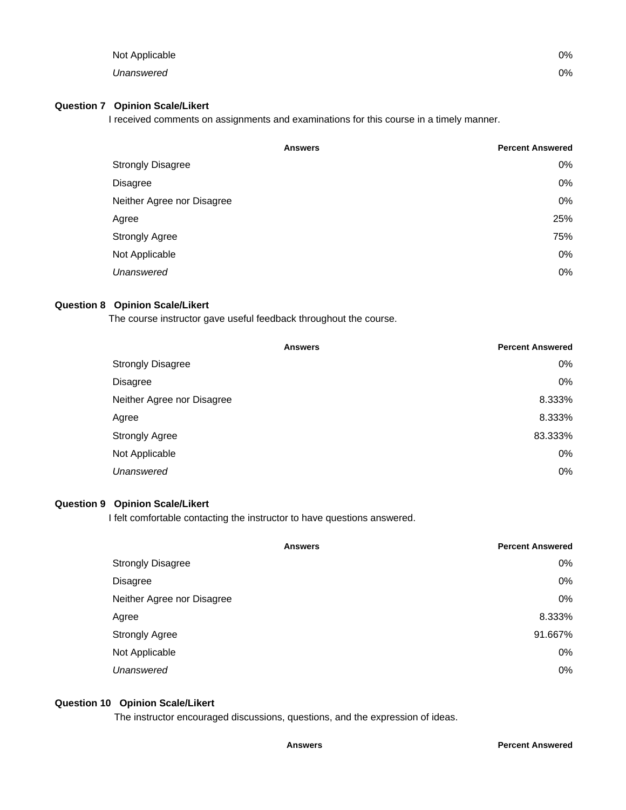| Not Applicable | 0% |
|----------------|----|
| Unanswered     | 0% |

#### **Question 7 Opinion Scale/Likert**

I received comments on assignments and examinations for this course in a timely manner.

|                            | <b>Answers</b> | <b>Percent Answered</b> |
|----------------------------|----------------|-------------------------|
| <b>Strongly Disagree</b>   |                | 0%                      |
| Disagree                   |                | 0%                      |
| Neither Agree nor Disagree |                | 0%                      |
| Agree                      |                | 25%                     |
| <b>Strongly Agree</b>      |                | 75%                     |
| Not Applicable             |                | 0%                      |
| Unanswered                 |                | 0%                      |

### **Question 8 Opinion Scale/Likert**

The course instructor gave useful feedback throughout the course.

|                            | <b>Answers</b> | <b>Percent Answered</b> |
|----------------------------|----------------|-------------------------|
| <b>Strongly Disagree</b>   |                | $0\%$                   |
| <b>Disagree</b>            |                | 0%                      |
| Neither Agree nor Disagree |                | 8.333%                  |
| Agree                      |                | 8.333%                  |
| <b>Strongly Agree</b>      |                | 83.333%                 |
| Not Applicable             |                | 0%                      |
| Unanswered                 |                | $0\%$                   |
|                            |                |                         |

# **Question 9 Opinion Scale/Likert**

I felt comfortable contacting the instructor to have questions answered.

|                            | <b>Answers</b> | <b>Percent Answered</b> |
|----------------------------|----------------|-------------------------|
| <b>Strongly Disagree</b>   |                | $0\%$                   |
| <b>Disagree</b>            |                | 0%                      |
| Neither Agree nor Disagree |                | 0%                      |
| Agree                      |                | 8.333%                  |
| <b>Strongly Agree</b>      |                | 91.667%                 |
| Not Applicable             |                | 0%                      |
| Unanswered                 |                | $0\%$                   |
|                            |                |                         |

# **Question 10 Opinion Scale/Likert**

The instructor encouraged discussions, questions, and the expression of ideas.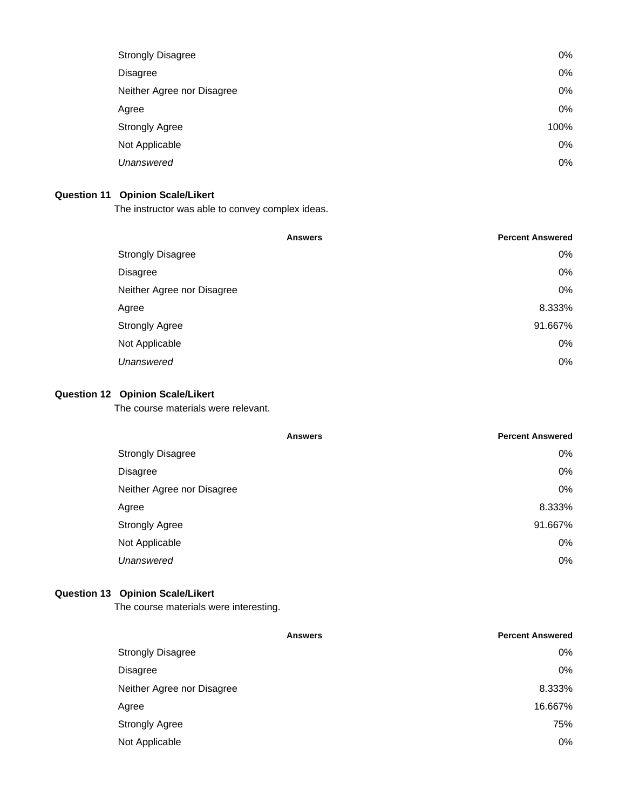| <b>Strongly Disagree</b>   | 0%   |
|----------------------------|------|
| <b>Disagree</b>            | 0%   |
| Neither Agree nor Disagree | 0%   |
| Agree                      | 0%   |
| <b>Strongly Agree</b>      | 100% |
| Not Applicable             | 0%   |
| Unanswered                 | 0%   |
|                            |      |

# **Question 11 Opinion Scale/Likert**

The instructor was able to convey complex ideas.

| <b>Answers</b>             | <b>Percent Answered</b> |
|----------------------------|-------------------------|
| <b>Strongly Disagree</b>   | $0\%$                   |
| <b>Disagree</b>            | $0\%$                   |
| Neither Agree nor Disagree | $0\%$                   |
| Agree                      | 8.333%                  |
| <b>Strongly Agree</b>      | 91.667%                 |
| Not Applicable             | $0\%$                   |
| Unanswered                 | $0\%$                   |
|                            |                         |

# **Question 12 Opinion Scale/Likert**

The course materials were relevant.

|                            | <b>Answers</b> | <b>Percent Answered</b> |
|----------------------------|----------------|-------------------------|
| <b>Strongly Disagree</b>   |                | $0\%$                   |
| Disagree                   |                | $0\%$                   |
| Neither Agree nor Disagree |                | $0\%$                   |
| Agree                      |                | 8.333%                  |
| <b>Strongly Agree</b>      |                | 91.667%                 |
| Not Applicable             |                | $0\%$                   |
| Unanswered                 |                | $0\%$                   |

# **Question 13 Opinion Scale/Likert**

The course materials were interesting.

|                            | <b>Answers</b> | <b>Percent Answered</b> |
|----------------------------|----------------|-------------------------|
| <b>Strongly Disagree</b>   |                | $0\%$                   |
| Disagree                   |                | $0\%$                   |
| Neither Agree nor Disagree |                | 8.333%                  |
| Agree                      |                | 16.667%                 |
| <b>Strongly Agree</b>      |                | 75%                     |
| Not Applicable             |                | $0\%$                   |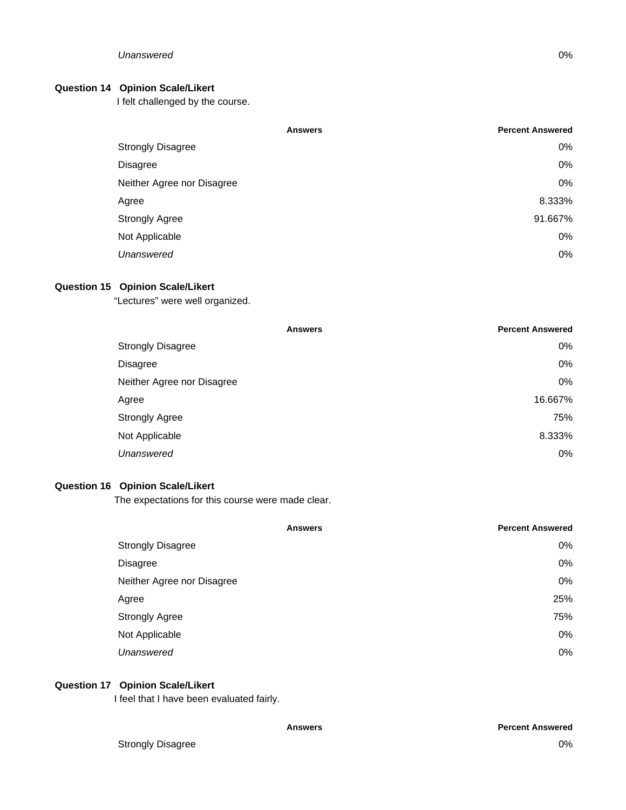### **Question 14 Opinion Scale/Likert**

I felt challenged by the course.

|                            | <b>Answers</b> | <b>Percent Answered</b> |
|----------------------------|----------------|-------------------------|
| <b>Strongly Disagree</b>   |                | 0%                      |
| <b>Disagree</b>            |                | 0%                      |
| Neither Agree nor Disagree |                | 0%                      |
| Agree                      |                | 8.333%                  |
| <b>Strongly Agree</b>      |                | 91.667%                 |
| Not Applicable             |                | 0%                      |
| Unanswered                 |                | 0%                      |

### **Question 15 Opinion Scale/Likert**

"Lectures" were well organized.

|                            | <b>Answers</b> | <b>Percent Answered</b> |
|----------------------------|----------------|-------------------------|
| <b>Strongly Disagree</b>   |                | $0\%$                   |
| Disagree                   |                | $0\%$                   |
| Neither Agree nor Disagree |                | $0\%$                   |
| Agree                      |                | 16.667%                 |
| <b>Strongly Agree</b>      |                | 75%                     |
| Not Applicable             |                | 8.333%                  |
| Unanswered                 |                | $0\%$                   |
|                            |                |                         |

## **Question 16 Opinion Scale/Likert**

The expectations for this course were made clear.

| <b>Answers</b>             | <b>Percent Answered</b> |
|----------------------------|-------------------------|
| <b>Strongly Disagree</b>   | $0\%$                   |
| <b>Disagree</b>            | 0%                      |
| Neither Agree nor Disagree | 0%                      |
| Agree                      | 25%                     |
| <b>Strongly Agree</b>      | 75%                     |
| Not Applicable             | $0\%$                   |
| Unanswered                 | $0\%$                   |

## **Question 17 Opinion Scale/Likert**

I feel that I have been evaluated fairly.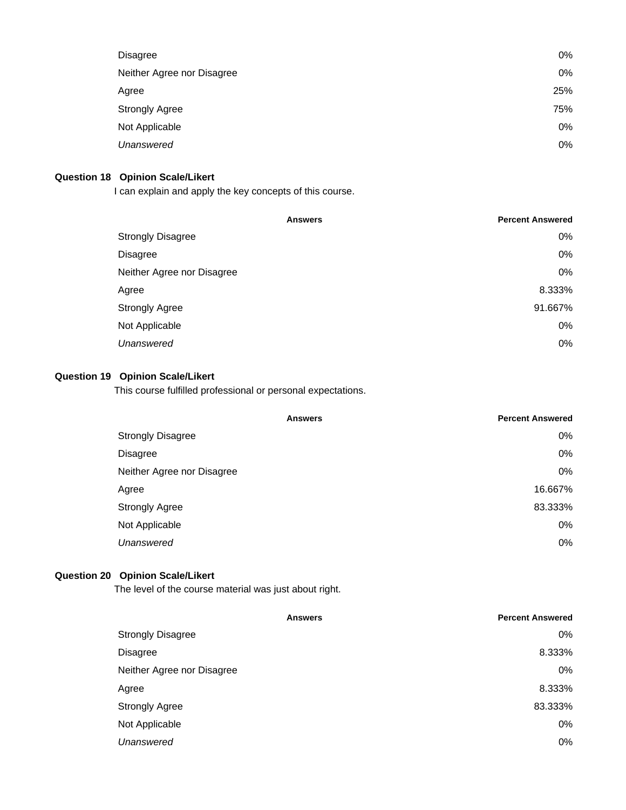| <b>Disagree</b>            | 0%  |
|----------------------------|-----|
| Neither Agree nor Disagree | 0%  |
| Agree                      | 25% |
| <b>Strongly Agree</b>      | 75% |
| Not Applicable             | 0%  |
| Unanswered                 | 0%  |

# **Question 18 Opinion Scale/Likert**

I can explain and apply the key concepts of this course.

|                            | <b>Answers</b> | <b>Percent Answered</b> |
|----------------------------|----------------|-------------------------|
| <b>Strongly Disagree</b>   |                | $0\%$                   |
| Disagree                   |                | 0%                      |
| Neither Agree nor Disagree |                | 0%                      |
| Agree                      |                | 8.333%                  |
| <b>Strongly Agree</b>      |                | 91.667%                 |
| Not Applicable             |                | 0%                      |
| Unanswered                 |                | 0%                      |
|                            |                |                         |

# **Question 19 Opinion Scale/Likert**

This course fulfilled professional or personal expectations.

| <b>Percent Answered</b><br><b>Answers</b> |
|-------------------------------------------|
| $0\%$                                     |
| 0%                                        |
| 0%                                        |
| 16.667%                                   |
| 83.333%                                   |
| 0%                                        |
| 0%                                        |
|                                           |

## **Question 20 Opinion Scale/Likert**

The level of the course material was just about right.

| <b>Percent Answered</b> |
|-------------------------|
| 0%                      |
| 8.333%                  |
| 0%                      |
| 8.333%                  |
| 83.333%                 |
| 0%                      |
| 0%                      |
|                         |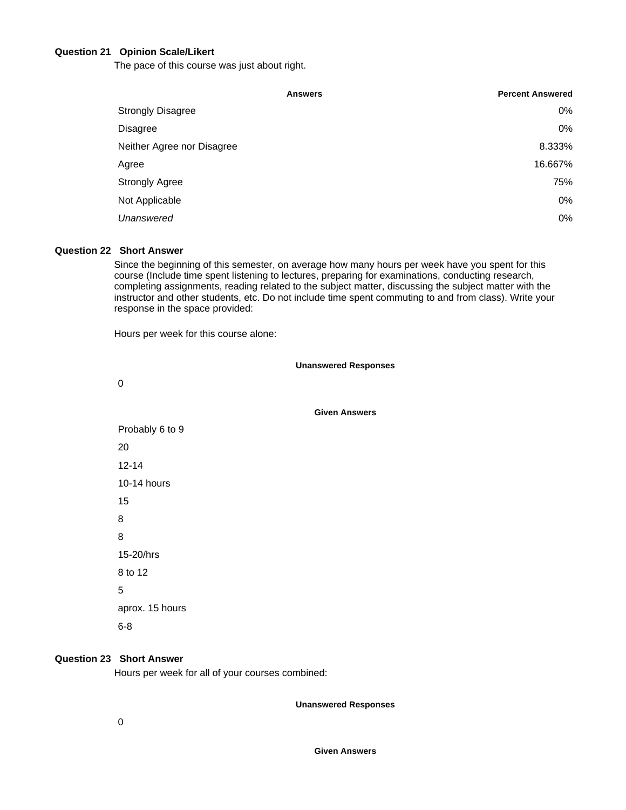#### **Question 21 Opinion Scale/Likert**

The pace of this course was just about right.

|                            | <b>Answers</b> | <b>Percent Answered</b> |
|----------------------------|----------------|-------------------------|
| <b>Strongly Disagree</b>   |                | 0%                      |
| Disagree                   |                | 0%                      |
| Neither Agree nor Disagree |                | 8.333%                  |
| Agree                      |                | 16.667%                 |
| <b>Strongly Agree</b>      |                | 75%                     |
| Not Applicable             |                | 0%                      |
| Unanswered                 |                | 0%                      |

# **Question 22 Short Answer**

Since the beginning of this semester, on average how many hours per week have you spent for this course (Include time spent listening to lectures, preparing for examinations, conducting research, completing assignments, reading related to the subject matter, discussing the subject matter with the instructor and other students, etc. Do not include time spent commuting to and from class). Write your response in the space provided:

Hours per week for this course alone:

**Unanswered Responses** 0 **Given Answers** Probably 6 to 9 20 12-14 10-14 hours 15 8 8 15-20/hrs 8 to 12 5 aprox. 15 hours 6-8

#### **Question 23 Short Answer**

Hours per week for all of your courses combined:

**Unanswered Responses**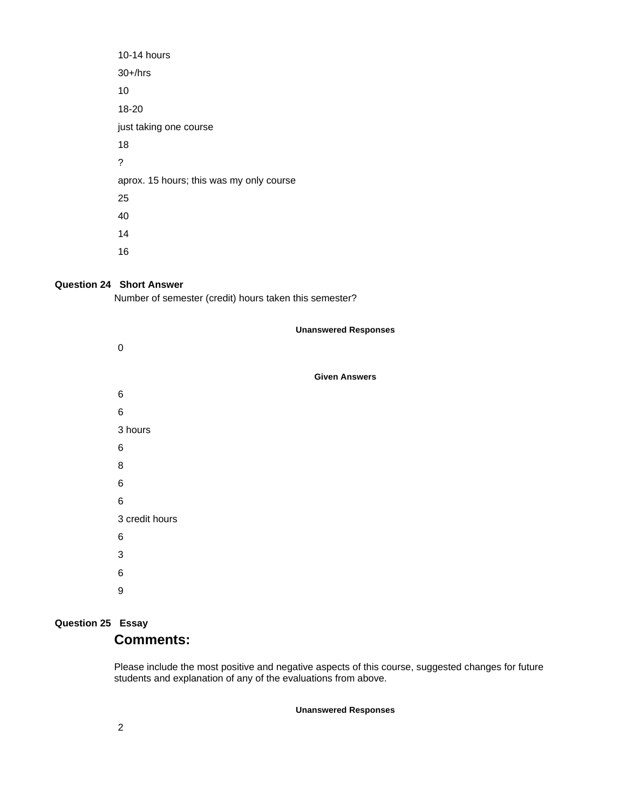| 10-14 hours                              |
|------------------------------------------|
| $30+/hrs$                                |
| 10                                       |
| 18-20                                    |
| just taking one course                   |
| 18                                       |
| ?                                        |
| aprox. 15 hours; this was my only course |
| 25                                       |
| 40                                       |
| 14                                       |
| 16                                       |

# **Question 24 Short Answer**

Number of semester (credit) hours taken this semester?

|                | <b>Unanswered Responses</b> |
|----------------|-----------------------------|
| 0              |                             |
|                | <b>Given Answers</b>        |
| 6              |                             |
| $\,6$          |                             |
| 3 hours        |                             |
| 6              |                             |
| 8              |                             |
| 6              |                             |
| $\,6$          |                             |
| 3 credit hours |                             |
| 6              |                             |
| 3              |                             |
| 6              |                             |
| 9              |                             |

# **Question 25 Essay Comments:**

Please include the most positive and negative aspects of this course, suggested changes for future students and explanation of any of the evaluations from above.

**Unanswered Responses**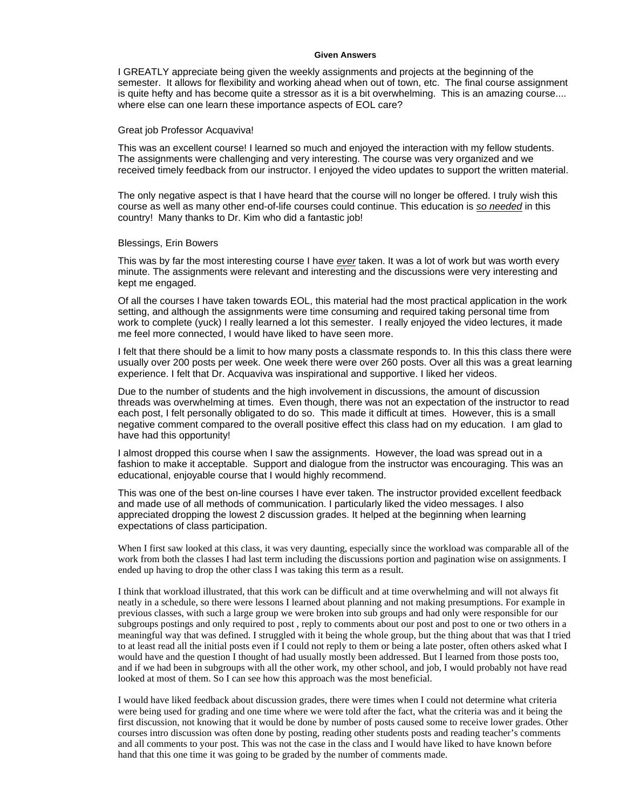#### **Given Answers**

I GREATLY appreciate being given the weekly assignments and projects at the beginning of the semester. It allows for flexibility and working ahead when out of town, etc. The final course assignment is quite hefty and has become quite a stressor as it is a bit overwhelming. This is an amazing course.... where else can one learn these importance aspects of EOL care?

#### Great job Professor Acquaviva!

This was an excellent course! I learned so much and enjoyed the interaction with my fellow students. The assignments were challenging and very interesting. The course was very organized and we received timely feedback from our instructor. I enjoyed the video updates to support the written material.

The only negative aspect is that I have heard that the course will no longer be offered. I truly wish this course as well as many other end-of-life courses could continue. This education is *so needed* in this country! Many thanks to Dr. Kim who did a fantastic job!

#### Blessings, Erin Bowers

This was by far the most interesting course I have *ever* taken. It was a lot of work but was worth every minute. The assignments were relevant and interesting and the discussions were very interesting and kept me engaged.

Of all the courses I have taken towards EOL, this material had the most practical application in the work setting, and although the assignments were time consuming and required taking personal time from work to complete (yuck) I really learned a lot this semester. I really enjoyed the video lectures, it made me feel more connected, I would have liked to have seen more.

I felt that there should be a limit to how many posts a classmate responds to. In this this class there were usually over 200 posts per week. One week there were over 260 posts. Over all this was a great learning experience. I felt that Dr. Acquaviva was inspirational and supportive. I liked her videos.

Due to the number of students and the high involvement in discussions, the amount of discussion threads was overwhelming at times. Even though, there was not an expectation of the instructor to read each post, I felt personally obligated to do so. This made it difficult at times. However, this is a small negative comment compared to the overall positive effect this class had on my education. I am glad to have had this opportunity!

I almost dropped this course when I saw the assignments. However, the load was spread out in a fashion to make it acceptable. Support and dialogue from the instructor was encouraging. This was an educational, enjoyable course that I would highly recommend.

This was one of the best on-line courses I have ever taken. The instructor provided excellent feedback and made use of all methods of communication. I particularly liked the video messages. I also appreciated dropping the lowest 2 discussion grades. It helped at the beginning when learning expectations of class participation.

When I first saw looked at this class, it was very daunting, especially since the workload was comparable all of the work from both the classes I had last term including the discussions portion and pagination wise on assignments. I ended up having to drop the other class I was taking this term as a result.

I think that workload illustrated, that this work can be difficult and at time overwhelming and will not always fit neatly in a schedule, so there were lessons I learned about planning and not making presumptions. For example in previous classes, with such a large group we were broken into sub groups and had only were responsible for our subgroups postings and only required to post , reply to comments about our post and post to one or two others in a meaningful way that was defined. I struggled with it being the whole group, but the thing about that was that I tried to at least read all the initial posts even if I could not reply to them or being a late poster, often others asked what I would have and the question I thought of had usually mostly been addressed. But I learned from those posts too, and if we had been in subgroups with all the other work, my other school, and job, I would probably not have read looked at most of them. So I can see how this approach was the most beneficial.

I would have liked feedback about discussion grades, there were times when I could not determine what criteria were being used for grading and one time where we were told after the fact, what the criteria was and it being the first discussion, not knowing that it would be done by number of posts caused some to receive lower grades. Other courses intro discussion was often done by posting, reading other students posts and reading teacher's comments and all comments to your post. This was not the case in the class and I would have liked to have known before hand that this one time it was going to be graded by the number of comments made.